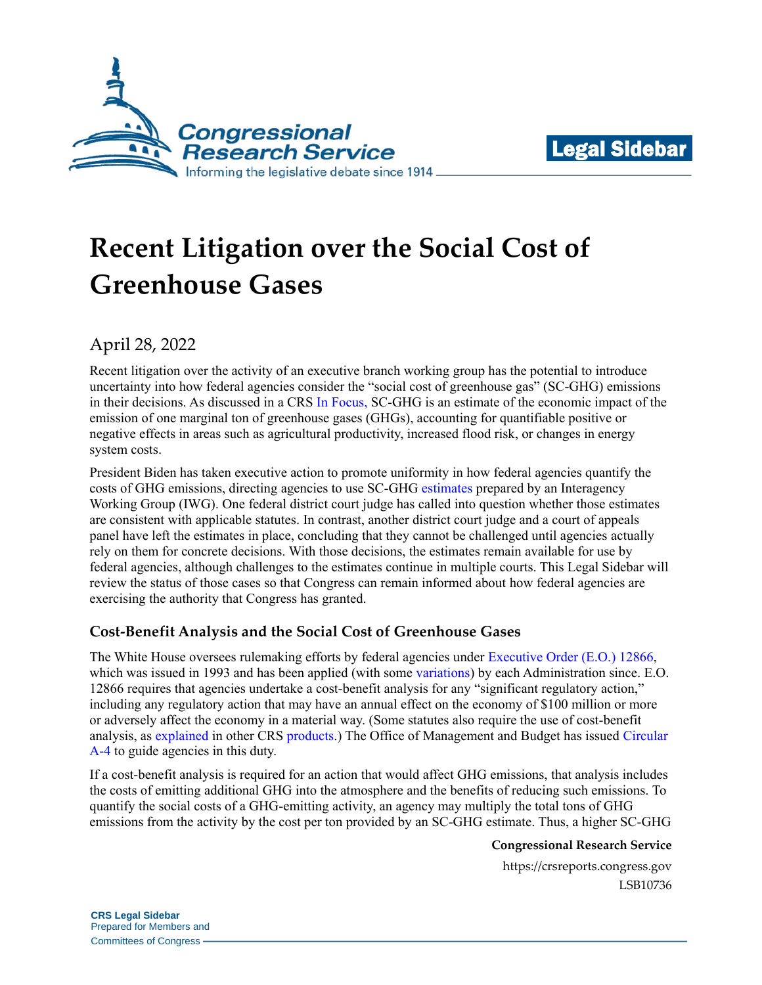



# **Recent Litigation over the Social Cost of Greenhouse Gases**

# April 28, 2022

Recent litigation over the activity of an executive branch working group has the potential to introduce uncertainty into how federal agencies consider the "social cost of greenhouse gas" (SC-GHG) emissions in their decisions. As discussed in a CRS [In Focus,](https://crsreports.congress.gov/product/pdf/IF/IF11844) SC-GHG is an estimate of the economic impact of the emission of one marginal ton of greenhouse gases (GHGs), accounting for quantifiable positive or negative effects in areas such as agricultural productivity, increased flood risk, or changes in energy system costs.

President Biden has taken executive action to promote uniformity in how federal agencies quantify the costs of GHG emissions, directing agencies to use SC-GHG [estimates](https://www.whitehouse.gov/wp-content/uploads/2021/02/TechnicalSupportDocument_SocialCostofCarbonMethaneNitrousOxide.pdf) prepared by an Interagency Working Group (IWG). One federal district court judge has called into question whether those estimates are consistent with applicable statutes. In contrast, another district court judge and a court of appeals panel have left the estimates in place, concluding that they cannot be challenged until agencies actually rely on them for concrete decisions. With those decisions, the estimates remain available for use by federal agencies, although challenges to the estimates continue in multiple courts. This Legal Sidebar will review the status of those cases so that Congress can remain informed about how federal agencies are exercising the authority that Congress has granted.

## **Cost-Benefit Analysis and the Social Cost of Greenhouse Gases**

The White House oversees rulemaking efforts by federal agencies under [Executive Order \(E.O.\) 12866,](https://www.govinfo.gov/content/pkg/WCPD-1993-10-04/pdf/WCPD-1993-10-04-Pg1925.pdf) which was issued in 1993 and has been applied (with some [variations\)](https://crsreports.congress.gov/product/pdf/RL/RL32397) by each Administration since. E.O. 12866 requires that agencies undertake a cost-benefit analysis for any "significant regulatory action," including any regulatory action that may have an annual effect on the economy of \$100 million or more or adversely affect the economy in a material way. (Some statutes also require the use of cost-benefit analysis, as [explained](https://crsreports.congress.gov/product/pdf/IF/IF12058) in other CRS [products.](https://crsreports.congress.gov/product/pdf/R/R41974)) The Office of Management and Budget has issued [Circular](https://www.whitehouse.gov/wp-content/uploads/legacy_drupal_files/omb/circulars/A4/a-4.pdf)  [A-4](https://www.whitehouse.gov/wp-content/uploads/legacy_drupal_files/omb/circulars/A4/a-4.pdf) to guide agencies in this duty.

If a cost-benefit analysis is required for an action that would affect GHG emissions, that analysis includes the costs of emitting additional GHG into the atmosphere and the benefits of reducing such emissions. To quantify the social costs of a GHG-emitting activity, an agency may multiply the total tons of GHG emissions from the activity by the cost per ton provided by an SC-GHG estimate. Thus, a higher SC-GHG

### **Congressional Research Service**

https://crsreports.congress.gov LSB10736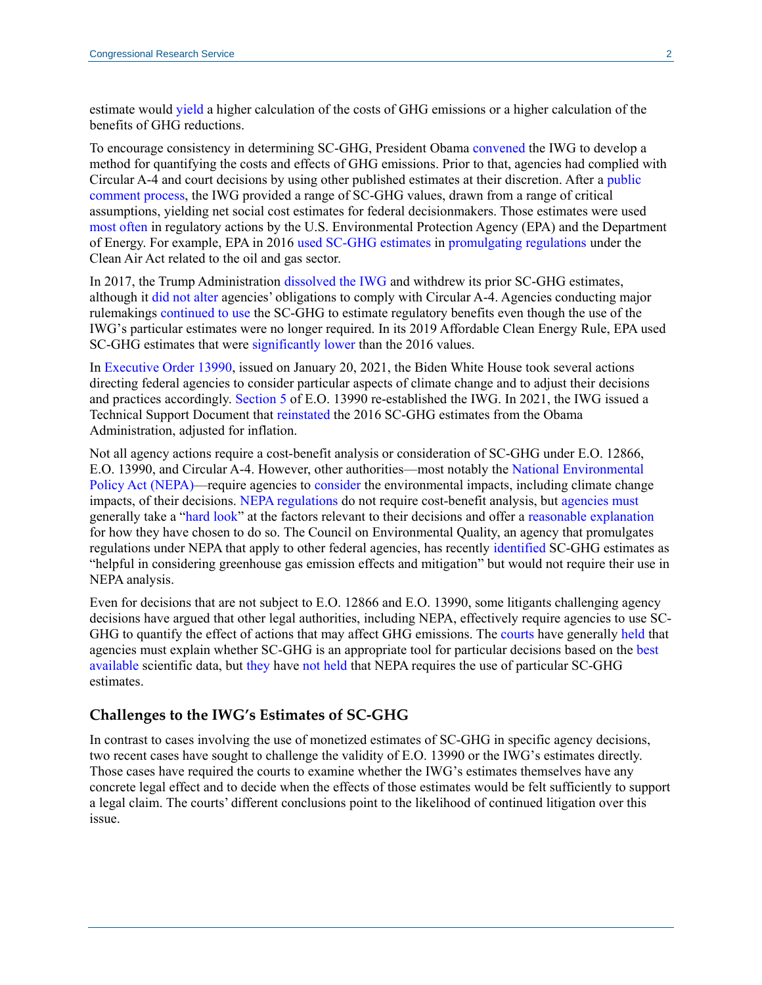estimate would [yield](https://www.law.georgetown.edu/environmental-law-review/blog/whats-in-a-number-the-social-cost-of-carbon/) a higher calculation of the costs of GHG emissions or a higher calculation of the benefits of GHG reductions.

To encourage consistency in determining SC-GHG, President Obama [convened](https://www.gao.gov/assets/gao-20-254.pdf#page=17) the IWG to develop a method for quantifying the costs and effects of GHG emissions. Prior to that, agencies had complied with Circular A-4 and court decisions by using other published estimates at their discretion. After a [public](https://www.federalregister.gov/documents/2013/11/26/2013-28242/technical-support-document-technical-update-of-the-social-cost-of-carbon-for-regulatory-impact)  [comment process,](https://www.federalregister.gov/documents/2013/11/26/2013-28242/technical-support-document-technical-update-of-the-social-cost-of-carbon-for-regulatory-impact) the IWG provided a range of SC-GHG values, drawn from a range of critical assumptions, yielding net social cost estimates for federal decisionmakers. Those estimates were used [most often](https://policyintegrity.org/files/publications/Think_Global.pdf#page=68) in regulatory actions by the U.S. Environmental Protection Agency (EPA) and the Department of Energy. For example, EPA in 2016 [used SC-GHG estimates](https://19january2017snapshot.epa.gov/climatechange/social-cost-carbon_.html) in [promulgating regulations](https://www.epa.gov/controlling-air-pollution-oil-and-natural-gas-industry/new-source-performance-standards-and) under the Clean Air Act related to the oil and gas sector.

In 2017, the Trump Administration [dissolved the IWG](https://www.gao.gov/assets/gao-20-254.pdf#page=19) and withdrew its prior SC-GHG estimates, although it [did not alter](https://www.federalregister.gov/documents/2017/03/31/2017-06576/promoting-energy-independence-and-economic-growth) agencies' obligations to comply with Circular A-4. Agencies conducting major rulemakings [continued to use](https://archive.epa.gov/epa/sites/production/files/2015-08/documents/cpp-final-rule-ria.pdf) the SC-GHG to estimate regulatory benefits even though the use of the IWG's particular estimates were no longer required. In its 2019 Affordable Clean Energy Rule, EPA used SC-GHG estimates that were [significantly lower](https://www.gao.gov/assets/gao-20-254.pdf#page=23) than the 2016 values.

In [Executive Order 13990,](https://www.govinfo.gov/content/pkg/FR-2021-01-25/pdf/2021-01765.pdf) issued on January 20, 2021, the Biden White House took several actions directing federal agencies to consider particular aspects of climate change and to adjust their decisions and practices accordingly. [Section 5](https://www.energy.gov/sites/default/files/2021/02/f83/eo-13990-protecting-public-health-environment-restoring.pdf#page=4) of E.O. 13990 re-established the IWG. In 2021, the IWG issued a Technical Support Document that [reinstated](https://www.whitehouse.gov/wp-content/uploads/2021/02/TechnicalSupportDocument_SocialCostofCarbonMethaneNitrousOxide.pdf) the 2016 SC-GHG estimates from the Obama Administration, adjusted for inflation.

Not all agency actions require a cost-benefit analysis or consideration of SC-GHG under E.O. 12866, E.O. 13990, and Circular A-4. However, other authorities—most notably the [National Environmental](https://uscode.house.gov/view.xhtml?req=granuleid:USC-prelim-title42-section4332&num=0&edition=prelim)  [Policy Act \(NEPA\)—](https://uscode.house.gov/view.xhtml?req=granuleid:USC-prelim-title42-section4332&num=0&edition=prelim)require agencies to [consider](https://crsreports.congress.gov/product/pdf/IF/IF11549) the environmental impacts, including climate change impacts, of their decisions. [NEPA regulations](https://www.govinfo.gov/content/pkg/CFR-2012-title40-vol34/pdf/CFR-2012-title40-vol34-sec1502-23.pdf) do not require cost-benefit analysis, but [agencies must](https://crsreports.congress.gov/product/pdf/IF/IF11932) generally take a ["hard look"](https://www.cadc.uscourts.gov/internet/opinions.nsf/1F97B59429C7D4F6852587260052CC71/$file/20-1045-1908759.pdf#page=12) at the factors relevant to their decisions and offer a [reasonable explanation](https://supreme.justia.com/cases/federal/us/463/29/) for how they have chosen to do so. The Council on Environmental Quality, an agency that promulgates regulations under NEPA that apply to other federal agencies, has recently [identified](https://www.govinfo.gov/content/pkg/FR-2021-10-07/pdf/2021-21867.pdf#page=7) SC-GHG estimates as "helpful in considering greenhouse gas emission effects and mitigation" but would not require their use in NEPA analysis.

Even for decisions that are not subject to E.O. 12866 and E.O. 13990, some litigants challenging agency decisions have argued that other legal authorities, including NEPA, effectively require agencies to use SC-GHG to quantify the effect of actions that may affect GHG emissions. The [courts](https://www.cadc.uscourts.gov/internet/opinions.nsf/2747D72C97BE12E285258184004D1D5F/$file/16-1329-1689670.pdf) have generally [held](https://www.govinfo.gov/content/pkg/USCOURTS-caDC-20-01093/pdf/USCOURTS-caDC-20-01093-1.pdf) that agencies must explain whether SC-GHG is an appropriate tool for particular decisions based on the [best](https://casetext.com/case/california-v-bernhardt)  [available](https://casetext.com/case/california-v-bernhardt) scientific data, but [they](https://www.leagle.com/decision/infdco20190319e24) have not [held](http://cdn.ca9.uscourts.gov/datastore/opinions/2022/04/04/20-35411.pdf#page=34) that NEPA requires the use of particular SC-GHG estimates.

#### **Challenges to the IWG's Estimates of SC-GHG**

In contrast to cases involving the use of monetized estimates of SC-GHG in specific agency decisions, two recent cases have sought to challenge the validity of E.O. 13990 or the IWG's estimates directly. Those cases have required the courts to examine whether the IWG's estimates themselves have any concrete legal effect and to decide when the effects of those estimates would be felt sufficiently to support a legal claim. The courts' different conclusions point to the likelihood of continued litigation over this issue.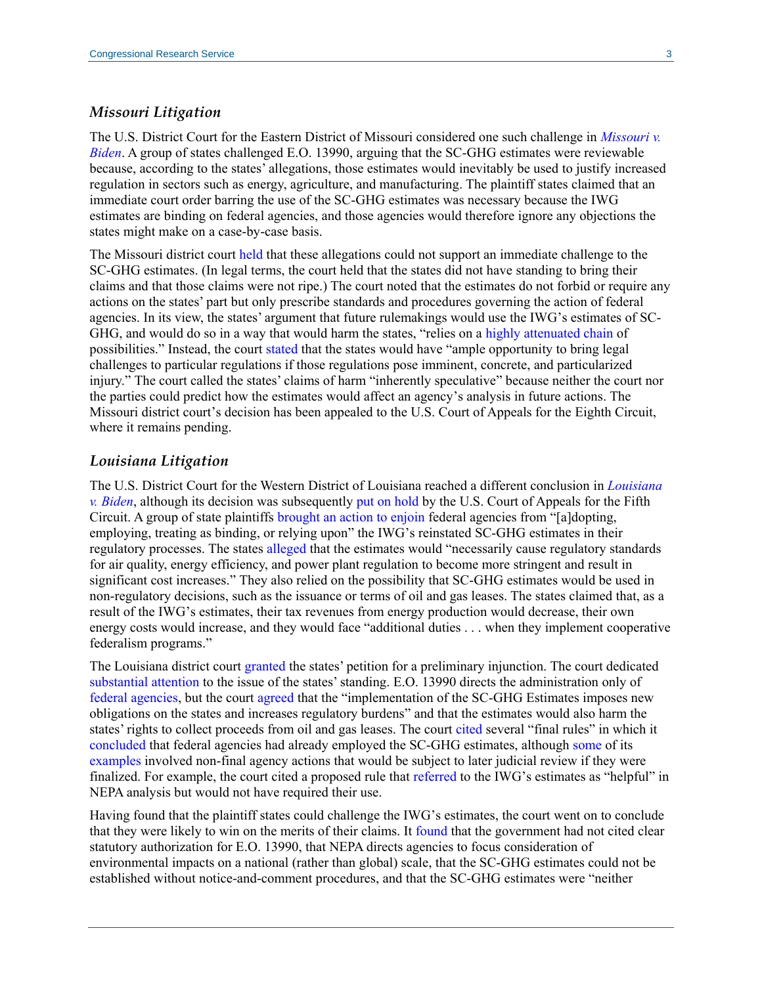#### *Missouri Litigation*

The U.S. District Court for the Eastern District of Missouri considered one such challenge in *[Missouri v.](http://climatecasechart.com/climate-change-litigation/wp-content/uploads/sites/16/case-documents/2021/20210831_docket-421-cv-00287_memorandum-and-order-1.pdf)  [Biden](http://climatecasechart.com/climate-change-litigation/wp-content/uploads/sites/16/case-documents/2021/20210831_docket-421-cv-00287_memorandum-and-order-1.pdf)*. A group of states challenged E.O. 13990, arguing that the SC-GHG estimates were reviewable because, according to the states' allegations, those estimates would inevitably be used to justify increased regulation in sectors such as energy, agriculture, and manufacturing. The plaintiff states claimed that an immediate court order barring the use of the SC-GHG estimates was necessary because the IWG estimates are binding on federal agencies, and those agencies would therefore ignore any objections the states might make on a case-by-case basis.

The Missouri district court [held](http://climatecasechart.com/climate-change-litigation/wp-content/uploads/sites/16/case-documents/2021/20210831_docket-421-cv-00287_memorandum-and-order-1.pdf) that these allegations could not support an immediate challenge to the SC-GHG estimates. (In legal terms, the court held that the states did not have standing to bring their claims and that those claims were not ripe.) The court noted that the estimates do not forbid or require any actions on the states' part but only prescribe standards and procedures governing the action of federal agencies. In its view, the states' argument that future rulemakings would use the IWG's estimates of SC-GHG, and would do so in a way that would harm the states, "relies on a [highly attenuated chain](http://climatecasechart.com/climate-change-litigation/wp-content/uploads/sites/16/case-documents/2021/20210831_docket-421-cv-00287_memorandum-and-order-1.pdf#page=16) of possibilities." Instead, the court [stated](http://climatecasechart.com/climate-change-litigation/wp-content/uploads/sites/16/case-documents/2021/20210831_docket-421-cv-00287_memorandum-and-order-1.pdf#page=25) that the states would have "ample opportunity to bring legal challenges to particular regulations if those regulations pose imminent, concrete, and particularized injury." The court called the states' claims of harm "inherently speculative" because neither the court nor the parties could predict how the estimates would affect an agency's analysis in future actions. The Missouri district court's decision has been appealed to the U.S. Court of Appeals for the Eighth Circuit, where it remains pending.

#### *Louisiana Litigation*

The U.S. District Court for the Western District of Louisiana reached a different conclusion in *[Louisiana](https://biotech.law.lsu.edu/blog/Louisiana-v-Biden-social-cost-of-carbon.pdf)  [v. Biden](https://biotech.law.lsu.edu/blog/Louisiana-v-Biden-social-cost-of-carbon.pdf)*, although its decision was subsequently [put on hold](https://www.courthousenews.com/wp-content/uploads/2022/03/louisiana-v-biden-opinion-ca5.pdf) by the U.S. Court of Appeals for the Fifth Circuit. A group of state plaintiffs [brought an action](https://biotech.law.lsu.edu/blog/Louisiana-v-Biden-social-cost-of-carbon.pdf#page=10) to enjoin federal agencies from "[a]dopting, employing, treating as binding, or relying upon" the IWG's reinstated SC-GHG estimates in their regulatory processes. The states [alleged](https://biotech.law.lsu.edu/blog/Louisiana-v-Biden-social-cost-of-carbon.pdf#page=13) that the estimates would "necessarily cause regulatory standards for air quality, energy efficiency, and power plant regulation to become more stringent and result in significant cost increases." They also relied on the possibility that SC-GHG estimates would be used in non-regulatory decisions, such as the issuance or terms of oil and gas leases. The states claimed that, as a result of the IWG's estimates, their tax revenues from energy production would decrease, their own energy costs would increase, and they would face "additional duties . . . when they implement cooperative federalism programs."

The Louisiana district court [granted](https://biotech.law.lsu.edu/blog/Louisiana-v-Biden-social-cost-of-carbon.pdf#page=44) the states' petition for a preliminary injunction. The court dedicated [substantial attention](https://biotech.law.lsu.edu/blog/Louisiana-v-Biden-social-cost-of-carbon.pdf#page=12) to the issue of the states' standing. E.O. 13990 directs the administration only of [federal agencies,](https://www.govinfo.gov/content/pkg/FR-2021-01-25/pdf/2021-01765.pdf#page=4) but the court [agreed](https://biotech.law.lsu.edu/blog/Louisiana-v-Biden-social-cost-of-carbon.pdf#page=19) that the "implementation of the SC-GHG Estimates imposes new obligations on the states and increases regulatory burdens" and that the estimates would also harm the states' rights to collect proceeds from oil and gas leases. The court [cited](https://biotech.law.lsu.edu/blog/Louisiana-v-Biden-social-cost-of-carbon.pdf#page=16) several "final rules" in which it [concluded](https://biotech.law.lsu.edu/blog/Louisiana-v-Biden-social-cost-of-carbon.pdf#page=20) that federal agencies had already employed the SC-GHG estimates, although [some](https://www.govinfo.gov/content/pkg/FR-2021-10-26/pdf/2021-23188.pdf) of its [examples](https://www.govinfo.gov/content/pkg/FR-2021-11-15/pdf/2021-24202.pdf) involved non-final agency actions that would be subject to later judicial review if they were finalized. For example, the court cited a proposed rule that [referred](https://www.govinfo.gov/content/pkg/FR-2021-10-07/pdf/2021-21867.pdf#page=7) to the IWG's estimates as "helpful" in NEPA analysis but would not have required their use.

Having found that the plaintiff states could challenge the IWG's estimates, the court went on to conclude that they were likely to win on the merits of their claims. It [found](https://biotech.law.lsu.edu/blog/Louisiana-v-Biden-social-cost-of-carbon.pdf#page=33) that the government had not cited clear statutory authorization for E.O. 13990, that NEPA directs agencies to focus consideration of environmental impacts on a national (rather than global) scale, that the SC-GHG estimates could not be established without notice-and-comment procedures, and that the SC-GHG estimates were "neither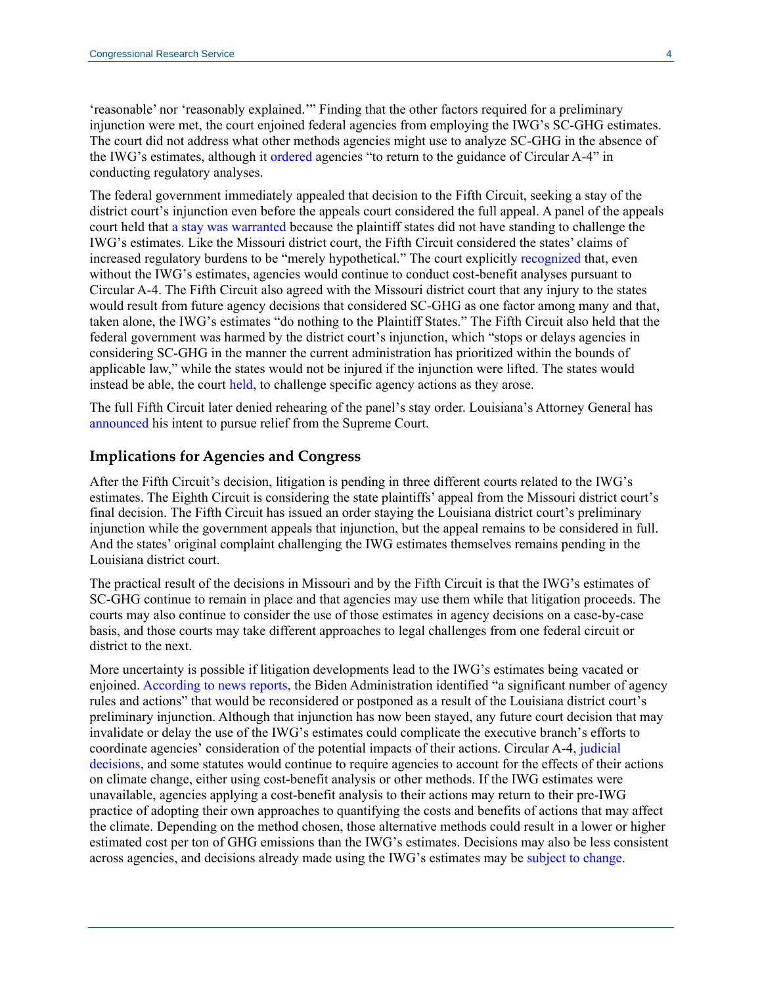'reasonable' nor 'reasonably explained.'" Finding that the other factors required for a preliminary injunction were met, the court enjoined federal agencies from employing the IWG's SC-GHG estimates. The court did not address what other methods agencies might use to analyze SC-GHG in the absence of the IWG's estimates, although it [ordered](https://biotech.law.lsu.edu/blog/Louisiana-v-Biden-social-cost-of-carbon.pdf#page=4) agencies "to return to the guidance of Circular A-4" in conducting regulatory analyses.

The federal government immediately appealed that decision to the Fifth Circuit, seeking a stay of the district court's injunction even before the appeals court considered the full appeal. A panel of the appeals court held that [a stay was warranted](https://www.courthousenews.com/wp-content/uploads/2022/03/louisiana-v-biden-opinion-ca5.pdf) because the plaintiff states did not have standing to challenge the IWG's estimates. Like the Missouri district court, the Fifth Circuit considered the states' claims of increased regulatory burdens to be "merely hypothetical." The court explicitly [recognized](https://www.courthousenews.com/wp-content/uploads/2022/03/louisiana-v-biden-opinion-ca5.pdf#page=4) that, even without the IWG's estimates, agencies would continue to conduct cost-benefit analyses pursuant to Circular A-4. The Fifth Circuit also agreed with the Missouri district court that any injury to the states would result from future agency decisions that considered SC-GHG as one factor among many and that, taken alone, the IWG's estimates "do nothing to the Plaintiff States." The Fifth Circuit also held that the federal government was harmed by the district court's injunction, which "stops or delays agencies in considering SC-GHG in the manner the current administration has prioritized within the bounds of applicable law," while the states would not be injured if the injunction were lifted. The states would instead be able, the court [held,](https://www.courthousenews.com/wp-content/uploads/2022/03/louisiana-v-biden-opinion-ca5.pdf#page=8) to challenge specific agency actions as they arose.

The full Fifth Circuit later denied rehearing of the panel's stay order. Louisiana's Attorney General has [announced](https://louisianarecord.com/stories/623508457-landry-to-appeal-ruling-on-administration-s-carbon-costs-formula-to-u-s-supreme-court) his intent to pursue relief from the Supreme Court.

#### **Implications for Agencies and Congress**

After the Fifth Circuit's decision, litigation is pending in three different courts related to the IWG's estimates. The Eighth Circuit is considering the state plaintiffs' appeal from the Missouri district court's final decision. The Fifth Circuit has issued an order staying the Louisiana district court's preliminary injunction while the government appeals that injunction, but the appeal remains to be considered in full. And the states' original complaint challenging the IWG estimates themselves remains pending in the Louisiana district court.

The practical result of the decisions in Missouri and by the Fifth Circuit is that the IWG's estimates of SC-GHG continue to remain in place and that agencies may use them while that litigation proceeds. The courts may also continue to consider the use of those estimates in agency decisions on a case-by-case basis, and those courts may take different approaches to legal challenges from one federal circuit or district to the next.

More uncertainty is possible if litigation developments lead to the IWG's estimates being vacated or enjoined. [According to news reports,](https://www.scientificamerican.com/article/white-house-predicts-major-delays-to-climate-rules-after-court-nixes-carbon-metric/) the Biden Administration identified "a significant number of agency rules and actions" that would be reconsidered or postponed as a result of the Louisiana district court's preliminary injunction. Although that injunction has now been stayed, any future court decision that may invalidate or delay the use of the IWG's estimates could complicate the executive branch's efforts to coordinate agencies' consideration of the potential impacts of their actions. Circular A-4, [judicial](https://crsreports.congress.gov/product/pdf/LSB/LSB10289)  [decisions,](https://crsreports.congress.gov/product/pdf/LSB/LSB10289) and some statutes would continue to require agencies to account for the effects of their actions on climate change, either using cost-benefit analysis or other methods. If the IWG estimates were unavailable, agencies applying a cost-benefit analysis to their actions may return to their pre-IWG practice of adopting their own approaches to quantifying the costs and benefits of actions that may affect the climate. Depending on the method chosen, those alternative methods could result in a lower or higher estimated cost per ton of GHG emissions than the IWG's estimates. Decisions may also be less consistent across agencies, and decisions already made using the IWG's estimates may be [subject to change.](https://www.law360.com/environmental/articles/1465715/epa-must-rethink-auto-limits-after-court-loss-group-says)